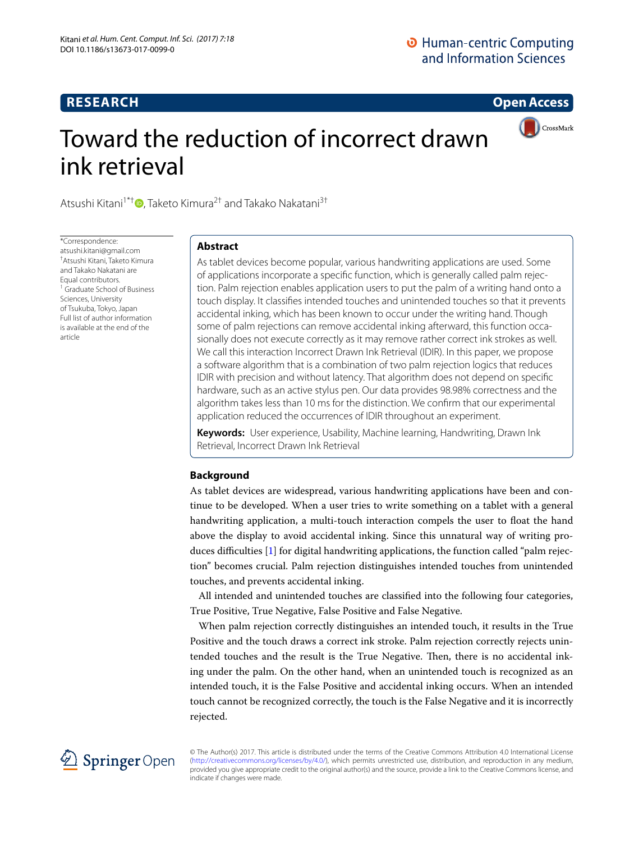# **RESEARCH**

**Open Access**

# Toward the reduction of incorrect drawn ink retrieval



Atsushi Kitani<sup>1\*†</sup> **D**[,](http://orcid.org/0000-0002-5579-2303) Taketo Kimura<sup>2†</sup> and Takako Nakatani<sup>3†</sup>

\*Correspondence: atsushi.kitani@gmail.com † Atsushi Kitani, Taketo Kimura and Takako Nakatani are Equal contributors. <sup>1</sup> Graduate School of Business Sciences, University of Tsukuba, Tokyo, Japan Full list of author information is available at the end of the article

# **Abstract**

As tablet devices become popular, various handwriting applications are used. Some of applications incorporate a specifc function, which is generally called palm rejection. Palm rejection enables application users to put the palm of a writing hand onto a touch display. It classifes intended touches and unintended touches so that it prevents accidental inking, which has been known to occur under the writing hand. Though some of palm rejections can remove accidental inking afterward, this function occasionally does not execute correctly as it may remove rather correct ink strokes as well. We call this interaction Incorrect Drawn Ink Retrieval (IDIR). In this paper, we propose a software algorithm that is a combination of two palm rejection logics that reduces IDIR with precision and without latency. That algorithm does not depend on specifc hardware, such as an active stylus pen. Our data provides 98.98% correctness and the algorithm takes less than 10 ms for the distinction. We confrm that our experimental application reduced the occurrences of IDIR throughout an experiment.

**Keywords:** User experience, Usability, Machine learning, Handwriting, Drawn Ink Retrieval, Incorrect Drawn Ink Retrieval

# <span id="page-0-0"></span>**Background**

As tablet devices are widespread, various handwriting applications have been and continue to be developed. When a user tries to write something on a tablet with a general handwriting application, a multi-touch interaction compels the user to foat the hand above the display to avoid accidental inking. Since this unnatural way of writing pro-duces difficulties [\[1](#page-11-0)] for digital handwriting applications, the function called "palm rejection" becomes crucial. Palm rejection distinguishes intended touches from unintended touches, and prevents accidental inking.

All intended and unintended touches are classifed into the following four categories, True Positive, True Negative, False Positive and False Negative.

When palm rejection correctly distinguishes an intended touch, it results in the True Positive and the touch draws a correct ink stroke. Palm rejection correctly rejects unintended touches and the result is the True Negative. Then, there is no accidental inking under the palm. On the other hand, when an unintended touch is recognized as an intended touch, it is the False Positive and accidental inking occurs. When an intended touch cannot be recognized correctly, the touch is the False Negative and it is incorrectly rejected.



© The Author(s) 2017. This article is distributed under the terms of the Creative Commons Attribution 4.0 International License [\(http://creativecommons.org/licenses/by/4.0/](http://creativecommons.org/licenses/by/4.0/)), which permits unrestricted use, distribution, and reproduction in any medium, provided you give appropriate credit to the original author(s) and the source, provide a link to the Creative Commons license, and indicate if changes were made.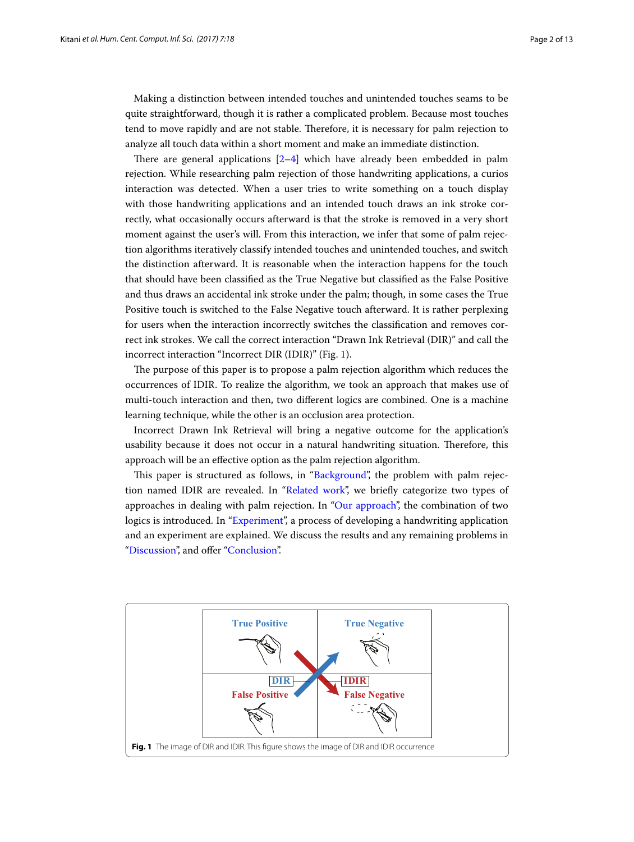Making a distinction between intended touches and unintended touches seams to be quite straightforward, though it is rather a complicated problem. Because most touches tend to move rapidly and are not stable. Therefore, it is necessary for palm rejection to analyze all touch data within a short moment and make an immediate distinction.

There are general applications  $[2-4]$  $[2-4]$  which have already been embedded in palm rejection. While researching palm rejection of those handwriting applications, a curios interaction was detected. When a user tries to write something on a touch display with those handwriting applications and an intended touch draws an ink stroke correctly, what occasionally occurs afterward is that the stroke is removed in a very short moment against the user's will. From this interaction, we infer that some of palm rejection algorithms iteratively classify intended touches and unintended touches, and switch the distinction afterward. It is reasonable when the interaction happens for the touch that should have been classifed as the True Negative but classifed as the False Positive and thus draws an accidental ink stroke under the palm; though, in some cases the True Positive touch is switched to the False Negative touch afterward. It is rather perplexing for users when the interaction incorrectly switches the classifcation and removes correct ink strokes. We call the correct interaction "Drawn Ink Retrieval (DIR)" and call the incorrect interaction "Incorrect DIR (IDIR)" (Fig. [1](#page-1-0)).

The purpose of this paper is to propose a palm rejection algorithm which reduces the occurrences of IDIR. To realize the algorithm, we took an approach that makes use of multi-touch interaction and then, two diferent logics are combined. One is a machine learning technique, while the other is an occlusion area protection.

Incorrect Drawn Ink Retrieval will bring a negative outcome for the application's usability because it does not occur in a natural handwriting situation. Therefore, this approach will be an efective option as the palm rejection algorithm.

This paper is structured as follows, in "[Background](#page-0-0)", the problem with palm rejection named IDIR are revealed. In "[Related work](#page-2-0)", we briefy categorize two types of approaches in dealing with palm rejection. In ["Our approach](#page-4-0)", the combination of two logics is introduced. In ["Experiment](#page-5-0)", a process of developing a handwriting application and an experiment are explained. We discuss the results and any remaining problems in ["Discussion](#page-8-0)", and ofer ["Conclusion](#page-10-0)".

<span id="page-1-0"></span>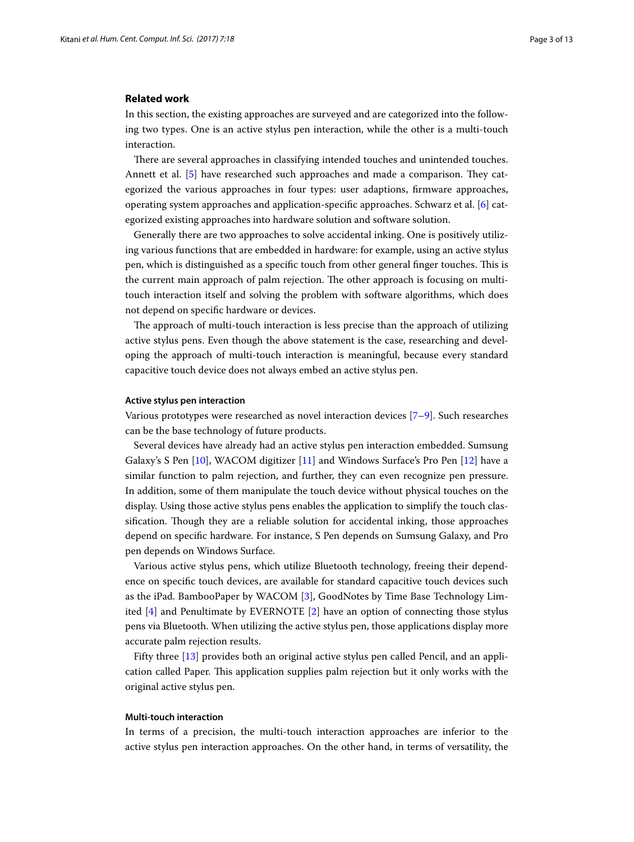## <span id="page-2-0"></span>**Related work**

In this section, the existing approaches are surveyed and are categorized into the following two types. One is an active stylus pen interaction, while the other is a multi-touch interaction.

There are several approaches in classifying intended touches and unintended touches. Annett et al.  $[5]$  $[5]$  have researched such approaches and made a comparison. They categorized the various approaches in four types: user adaptions, frmware approaches, operating system approaches and application-specifc approaches. Schwarz et al. [[6\]](#page-11-4) categorized existing approaches into hardware solution and software solution.

Generally there are two approaches to solve accidental inking. One is positively utilizing various functions that are embedded in hardware: for example, using an active stylus pen, which is distinguished as a specifc touch from other general fnger touches. Tis is the current main approach of palm rejection. The other approach is focusing on multitouch interaction itself and solving the problem with software algorithms, which does not depend on specifc hardware or devices.

The approach of multi-touch interaction is less precise than the approach of utilizing active stylus pens. Even though the above statement is the case, researching and developing the approach of multi-touch interaction is meaningful, because every standard capacitive touch device does not always embed an active stylus pen.

#### **Active stylus pen interaction**

Various prototypes were researched as novel interaction devices [[7–](#page-11-5)[9\]](#page-11-6). Such researches can be the base technology of future products.

Several devices have already had an active stylus pen interaction embedded. Sumsung Galaxy's S Pen [\[10](#page-11-7)], WACOM digitizer [[11\]](#page-11-8) and Windows Surface's Pro Pen [[12\]](#page-11-9) have a similar function to palm rejection, and further, they can even recognize pen pressure. In addition, some of them manipulate the touch device without physical touches on the display. Using those active stylus pens enables the application to simplify the touch classifcation. Tough they are a reliable solution for accidental inking, those approaches depend on specifc hardware. For instance, S Pen depends on Sumsung Galaxy, and Pro pen depends on Windows Surface.

Various active stylus pens, which utilize Bluetooth technology, freeing their dependence on specifc touch devices, are available for standard capacitive touch devices such as the iPad. BambooPaper by WACOM [\[3\]](#page-11-10), GoodNotes by Time Base Technology Limited [[4\]](#page-11-2) and Penultimate by EVERNOTE [[2](#page-11-1)] have an option of connecting those stylus pens via Bluetooth. When utilizing the active stylus pen, those applications display more accurate palm rejection results.

Fifty three [\[13\]](#page-11-11) provides both an original active stylus pen called Pencil, and an application called Paper. Tis application supplies palm rejection but it only works with the original active stylus pen.

#### **Multi‑touch interaction**

In terms of a precision, the multi-touch interaction approaches are inferior to the active stylus pen interaction approaches. On the other hand, in terms of versatility, the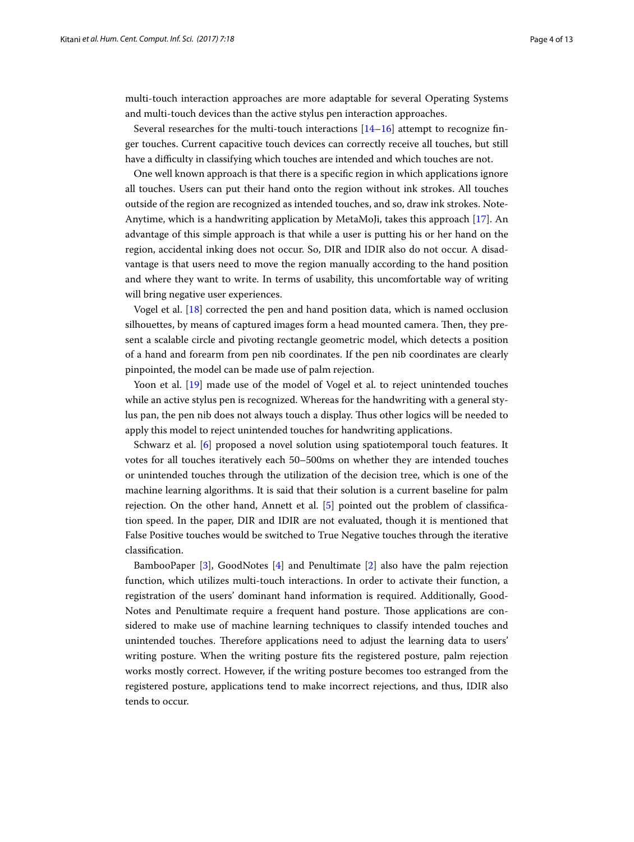multi-touch interaction approaches are more adaptable for several Operating Systems and multi-touch devices than the active stylus pen interaction approaches.

Several researches for the multi-touch interactions  $[14-16]$  $[14-16]$  attempt to recognize finger touches. Current capacitive touch devices can correctly receive all touches, but still have a difficulty in classifying which touches are intended and which touches are not.

One well known approach is that there is a specifc region in which applications ignore all touches. Users can put their hand onto the region without ink strokes. All touches outside of the region are recognized as intended touches, and so, draw ink strokes. Note-Anytime, which is a handwriting application by MetaMoJi, takes this approach [\[17](#page-12-1)]. An advantage of this simple approach is that while a user is putting his or her hand on the region, accidental inking does not occur. So, DIR and IDIR also do not occur. A disadvantage is that users need to move the region manually according to the hand position and where they want to write. In terms of usability, this uncomfortable way of writing will bring negative user experiences.

Vogel et al. [[18](#page-12-2)] corrected the pen and hand position data, which is named occlusion silhouettes, by means of captured images form a head mounted camera. Then, they present a scalable circle and pivoting rectangle geometric model, which detects a position of a hand and forearm from pen nib coordinates. If the pen nib coordinates are clearly pinpointed, the model can be made use of palm rejection.

Yoon et al. <sup>[[19](#page-12-3)]</sup> made use of the model of Vogel et al. to reject unintended touches while an active stylus pen is recognized. Whereas for the handwriting with a general stylus pan, the pen nib does not always touch a display. Tus other logics will be needed to apply this model to reject unintended touches for handwriting applications.

Schwarz et al. [\[6\]](#page-11-4) proposed a novel solution using spatiotemporal touch features. It votes for all touches iteratively each 50–500ms on whether they are intended touches or unintended touches through the utilization of the decision tree, which is one of the machine learning algorithms. It is said that their solution is a current baseline for palm rejection. On the other hand, Annett et al. [\[5](#page-11-3)] pointed out the problem of classifcation speed. In the paper, DIR and IDIR are not evaluated, though it is mentioned that False Positive touches would be switched to True Negative touches through the iterative classifcation.

BambooPaper [[3](#page-11-10)], GoodNotes [\[4\]](#page-11-2) and Penultimate [[2\]](#page-11-1) also have the palm rejection function, which utilizes multi-touch interactions. In order to activate their function, a registration of the users' dominant hand information is required. Additionally, Good-Notes and Penultimate require a frequent hand posture. Those applications are considered to make use of machine learning techniques to classify intended touches and unintended touches. Therefore applications need to adjust the learning data to users' writing posture. When the writing posture fts the registered posture, palm rejection works mostly correct. However, if the writing posture becomes too estranged from the registered posture, applications tend to make incorrect rejections, and thus, IDIR also tends to occur.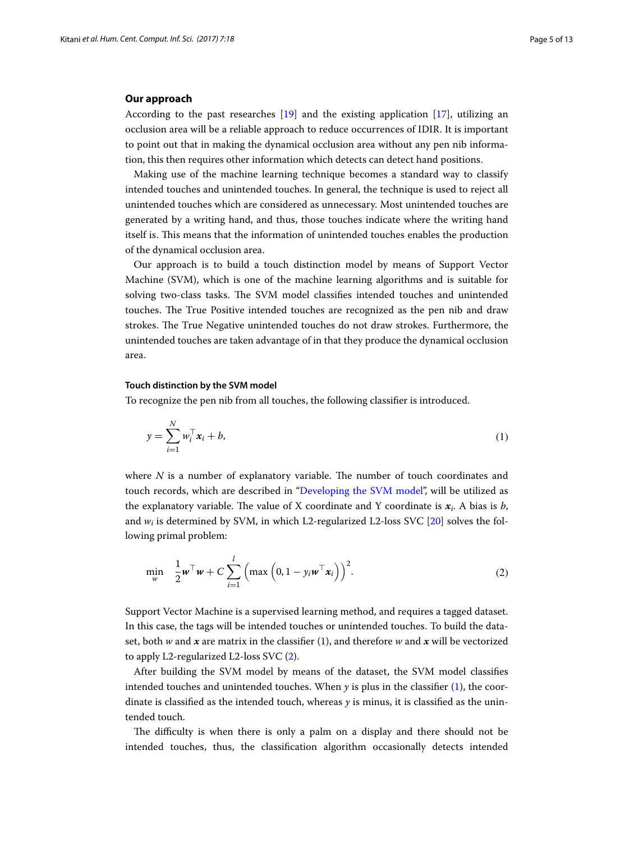#### <span id="page-4-0"></span>**Our approach**

According to the past researches [\[19](#page-12-3)] and the existing application [[17\]](#page-12-1), utilizing an occlusion area will be a reliable approach to reduce occurrences of IDIR. It is important to point out that in making the dynamical occlusion area without any pen nib information, this then requires other information which detects can detect hand positions.

Making use of the machine learning technique becomes a standard way to classify intended touches and unintended touches. In general, the technique is used to reject all unintended touches which are considered as unnecessary. Most unintended touches are generated by a writing hand, and thus, those touches indicate where the writing hand itself is. This means that the information of unintended touches enables the production of the dynamical occlusion area.

Our approach is to build a touch distinction model by means of Support Vector Machine (SVM), which is one of the machine learning algorithms and is suitable for solving two-class tasks. The SVM model classifies intended touches and unintended touches. The True Positive intended touches are recognized as the pen nib and draw strokes. The True Negative unintended touches do not draw strokes. Furthermore, the unintended touches are taken advantage of in that they produce the dynamical occlusion area.

## <span id="page-4-3"></span>**Touch distinction by the SVM model**

To recognize the pen nib from all touches, the following classifer is introduced.

<span id="page-4-1"></span>
$$
y = \sum_{i=1}^{N} w_i^{\top} x_i + b,
$$
 (1)

where  $N$  is a number of explanatory variable. The number of touch coordinates and touch records, which are described in "[Developing the SVM model"](#page-6-0), will be utilized as the explanatory variable. The value of X coordinate and Y coordinate is  $x_i$ . A bias is *b*, and  $w_i$  is determined by SVM, in which L2-regularized L2-loss SVC [\[20](#page-12-4)] solves the following primal problem:

<span id="page-4-2"></span>
$$
\min_{w} \quad \frac{1}{2} w^{\top} w + C \sum_{i=1}^{l} \left( \max \left( 0, 1 - y_{i} w^{\top} x_{i} \right) \right)^{2} . \tag{2}
$$

Support Vector Machine is a supervised learning method, and requires a tagged dataset. In this case, the tags will be intended touches or unintended touches. To build the dataset, both *w* and **x** are matrix in the classifer [\(1](#page-4-1)), and therefore *w* and **x** will be vectorized to apply L2-regularized L2-loss SVC ([2\)](#page-4-2).

After building the SVM model by means of the dataset, the SVM model classifes intended touches and unintended touches. When  $\gamma$  is plus in the classifier [\(1\)](#page-4-1), the coordinate is classifed as the intended touch, whereas *y* is minus, it is classifed as the unintended touch.

The difficulty is when there is only a palm on a display and there should not be intended touches, thus, the classifcation algorithm occasionally detects intended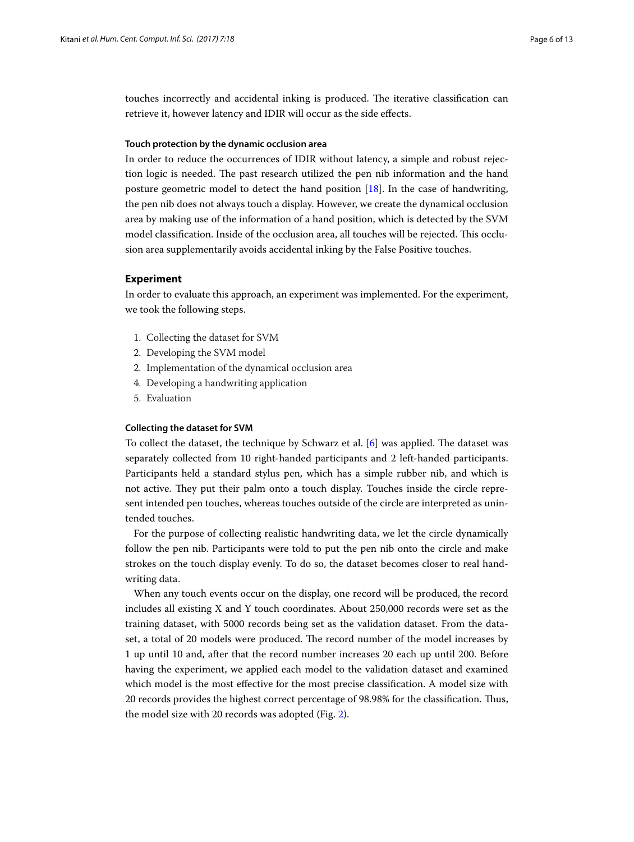touches incorrectly and accidental inking is produced. The iterative classification can retrieve it, however latency and IDIR will occur as the side efects.

## **Touch protection by the dynamic occlusion area**

In order to reduce the occurrences of IDIR without latency, a simple and robust rejection logic is needed. The past research utilized the pen nib information and the hand posture geometric model to detect the hand position [\[18\]](#page-12-2). In the case of handwriting, the pen nib does not always touch a display. However, we create the dynamical occlusion area by making use of the information of a hand position, which is detected by the SVM model classification. Inside of the occlusion area, all touches will be rejected. This occlusion area supplementarily avoids accidental inking by the False Positive touches.

## <span id="page-5-0"></span>**Experiment**

In order to evaluate this approach, an experiment was implemented. For the experiment, we took the following steps.

- 1. Collecting the dataset for SVM
- 2. Developing the SVM model
- 2. Implementation of the dynamical occlusion area
- 4. Developing a handwriting application
- 5. Evaluation

## **Collecting the dataset for SVM**

To collect the dataset, the technique by Schwarz et al.  $[6]$  $[6]$  was applied. The dataset was separately collected from 10 right-handed participants and 2 left-handed participants. Participants held a standard stylus pen, which has a simple rubber nib, and which is not active. They put their palm onto a touch display. Touches inside the circle represent intended pen touches, whereas touches outside of the circle are interpreted as unintended touches.

For the purpose of collecting realistic handwriting data, we let the circle dynamically follow the pen nib. Participants were told to put the pen nib onto the circle and make strokes on the touch display evenly. To do so, the dataset becomes closer to real handwriting data.

When any touch events occur on the display, one record will be produced, the record includes all existing X and Y touch coordinates. About 250,000 records were set as the training dataset, with 5000 records being set as the validation dataset. From the dataset, a total of 20 models were produced. The record number of the model increases by 1 up until 10 and, after that the record number increases 20 each up until 200. Before having the experiment, we applied each model to the validation dataset and examined which model is the most efective for the most precise classifcation. A model size with 20 records provides the highest correct percentage of 98.98% for the classifcation. Tus, the model size with 20 records was adopted (Fig. [2\)](#page-6-1).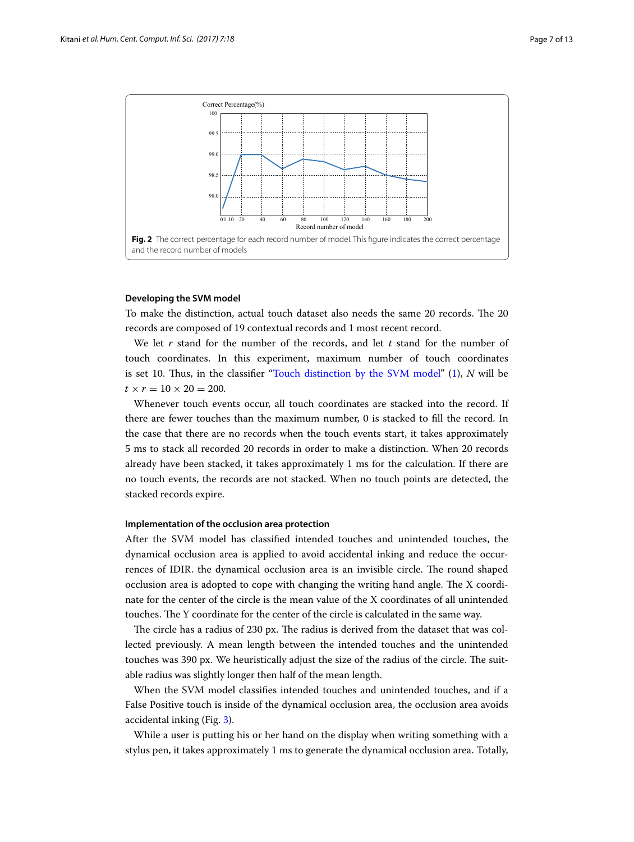

## <span id="page-6-1"></span><span id="page-6-0"></span>**Developing the SVM model**

To make the distinction, actual touch dataset also needs the same 20 records. The 20 records are composed of 19 contextual records and 1 most recent record.

We let *r* stand for the number of the records, and let *t* stand for the number of touch coordinates. In this experiment, maximum number of touch coordinates is set 10. Tus, in the classifer ["Touch distinction by the SVM model](#page-4-3)" ([1](#page-4-1)), *N* will be  $t \times r = 10 \times 20 = 200.$ 

Whenever touch events occur, all touch coordinates are stacked into the record. If there are fewer touches than the maximum number, 0 is stacked to fll the record. In the case that there are no records when the touch events start, it takes approximately 5 ms to stack all recorded 20 records in order to make a distinction. When 20 records already have been stacked, it takes approximately 1 ms for the calculation. If there are no touch events, the records are not stacked. When no touch points are detected, the stacked records expire.

#### **Implementation of the occlusion area protection**

After the SVM model has classifed intended touches and unintended touches, the dynamical occlusion area is applied to avoid accidental inking and reduce the occurrences of IDIR. the dynamical occlusion area is an invisible circle. The round shaped occlusion area is adopted to cope with changing the writing hand angle. The  $X$  coordinate for the center of the circle is the mean value of the X coordinates of all unintended touches. The Y coordinate for the center of the circle is calculated in the same way.

The circle has a radius of 230 px. The radius is derived from the dataset that was collected previously. A mean length between the intended touches and the unintended touches was 390 px. We heuristically adjust the size of the radius of the circle. The suitable radius was slightly longer then half of the mean length.

When the SVM model classifes intended touches and unintended touches, and if a False Positive touch is inside of the dynamical occlusion area, the occlusion area avoids accidental inking (Fig. [3\)](#page-7-0).

While a user is putting his or her hand on the display when writing something with a stylus pen, it takes approximately 1 ms to generate the dynamical occlusion area. Totally,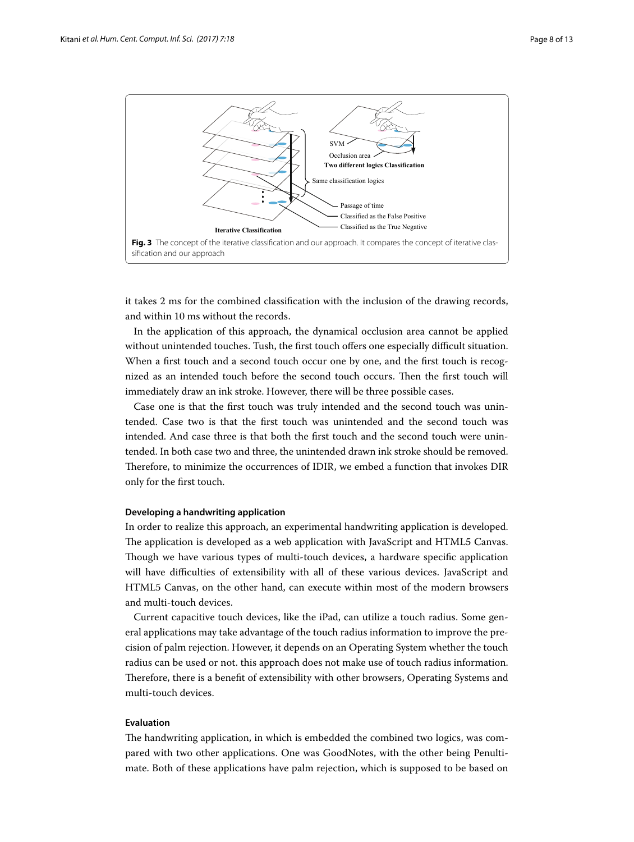

<span id="page-7-0"></span>it takes 2 ms for the combined classifcation with the inclusion of the drawing records, and within 10 ms without the records.

In the application of this approach, the dynamical occlusion area cannot be applied without unintended touches. Tush, the first touch offers one especially difficult situation. When a frst touch and a second touch occur one by one, and the frst touch is recognized as an intended touch before the second touch occurs. Then the first touch will immediately draw an ink stroke. However, there will be three possible cases.

Case one is that the frst touch was truly intended and the second touch was unintended. Case two is that the frst touch was unintended and the second touch was intended. And case three is that both the frst touch and the second touch were unintended. In both case two and three, the unintended drawn ink stroke should be removed. Therefore, to minimize the occurrences of IDIR, we embed a function that invokes DIR only for the frst touch.

#### **Developing a handwriting application**

In order to realize this approach, an experimental handwriting application is developed. The application is developed as a web application with JavaScript and HTML5 Canvas. Though we have various types of multi-touch devices, a hardware specific application will have difficulties of extensibility with all of these various devices. JavaScript and HTML5 Canvas, on the other hand, can execute within most of the modern browsers and multi-touch devices.

Current capacitive touch devices, like the iPad, can utilize a touch radius. Some general applications may take advantage of the touch radius information to improve the precision of palm rejection. However, it depends on an Operating System whether the touch radius can be used or not. this approach does not make use of touch radius information. Therefore, there is a benefit of extensibility with other browsers, Operating Systems and multi-touch devices.

## **Evaluation**

The handwriting application, in which is embedded the combined two logics, was compared with two other applications. One was GoodNotes, with the other being Penultimate. Both of these applications have palm rejection, which is supposed to be based on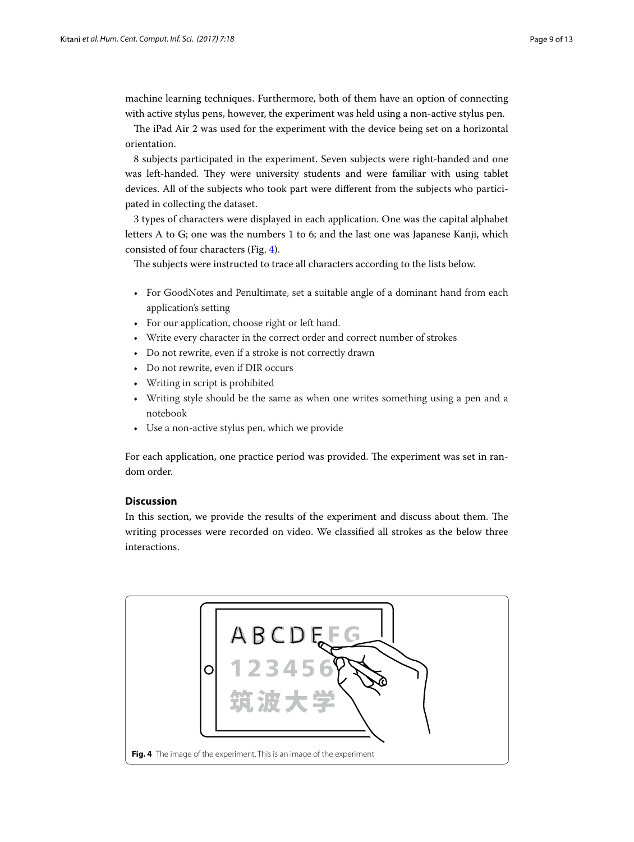machine learning techniques. Furthermore, both of them have an option of connecting with active stylus pens, however, the experiment was held using a non-active stylus pen.

The iPad Air 2 was used for the experiment with the device being set on a horizontal orientation.

8 subjects participated in the experiment. Seven subjects were right-handed and one was left-handed. They were university students and were familiar with using tablet devices. All of the subjects who took part were diferent from the subjects who participated in collecting the dataset.

3 types of characters were displayed in each application. One was the capital alphabet letters A to G; one was the numbers 1 to 6; and the last one was Japanese Kanji, which consisted of four characters (Fig. [4\)](#page-8-1).

The subjects were instructed to trace all characters according to the lists below.

- •• For GoodNotes and Penultimate, set a suitable angle of a dominant hand from each application's setting
- •• For our application, choose right or left hand.
- •• Write every character in the correct order and correct number of strokes
- •• Do not rewrite, even if a stroke is not correctly drawn
- •• Do not rewrite, even if DIR occurs
- •• Writing in script is prohibited
- •• Writing style should be the same as when one writes something using a pen and a notebook
- •• Use a non-active stylus pen, which we provide

For each application, one practice period was provided. The experiment was set in random order.

# <span id="page-8-0"></span>**Discussion**

In this section, we provide the results of the experiment and discuss about them. The writing processes were recorded on video. We classifed all strokes as the below three interactions.

<span id="page-8-1"></span>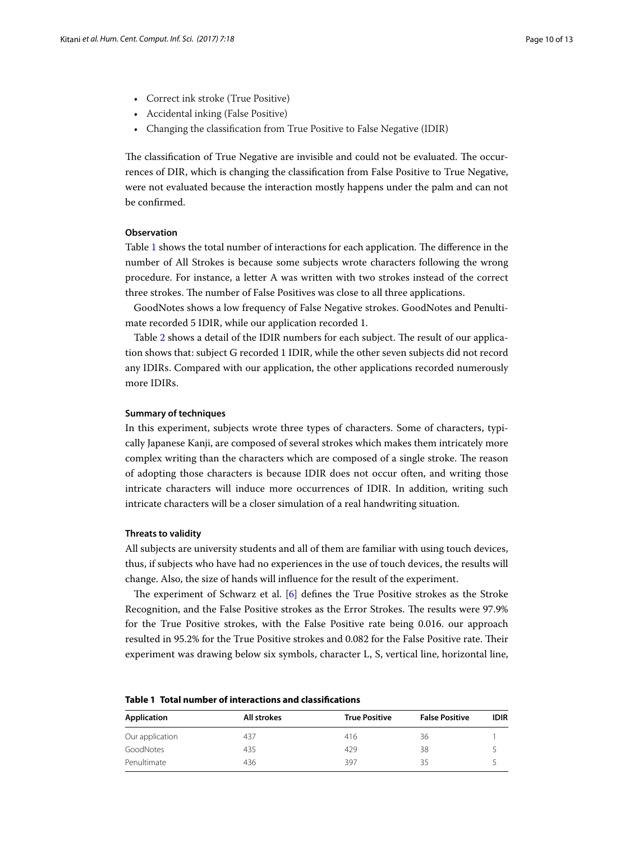- •• Correct ink stroke (True Positive)
- Accidental inking (False Positive)
- •• Changing the classifcation from True Positive to False Negative (IDIR)

The classification of True Negative are invisible and could not be evaluated. The occurrences of DIR, which is changing the classifcation from False Positive to True Negative, were not evaluated because the interaction mostly happens under the palm and can not be confrmed.

#### **Observation**

Table [1](#page-9-0) shows the total number of interactions for each application. The difference in the number of All Strokes is because some subjects wrote characters following the wrong procedure. For instance, a letter A was written with two strokes instead of the correct three strokes. The number of False Positives was close to all three applications.

GoodNotes shows a low frequency of False Negative strokes. GoodNotes and Penultimate recorded 5 IDIR, while our application recorded 1.

Table [2](#page-10-1) shows a detail of the IDIR numbers for each subject. The result of our application shows that: subject G recorded 1 IDIR, while the other seven subjects did not record any IDIRs. Compared with our application, the other applications recorded numerously more IDIRs.

### **Summary of techniques**

In this experiment, subjects wrote three types of characters. Some of characters, typically Japanese Kanji, are composed of several strokes which makes them intricately more complex writing than the characters which are composed of a single stroke. The reason of adopting those characters is because IDIR does not occur often, and writing those intricate characters will induce more occurrences of IDIR. In addition, writing such intricate characters will be a closer simulation of a real handwriting situation.

#### **Threats to validity**

All subjects are university students and all of them are familiar with using touch devices, thus, if subjects who have had no experiences in the use of touch devices, the results will change. Also, the size of hands will infuence for the result of the experiment.

The experiment of Schwarz et al.  $[6]$  $[6]$  defines the True Positive strokes as the Stroke Recognition, and the False Positive strokes as the Error Strokes. The results were 97.9% for the True Positive strokes, with the False Positive rate being 0.016. our approach resulted in 95.2% for the True Positive strokes and 0.082 for the False Positive rate. Their experiment was drawing below six symbols, character L, S, vertical line, horizontal line,

<span id="page-9-0"></span>**Table 1 Total number of interactions and classifcations**

| Application     | All strokes | <b>True Positive</b> | <b>False Positive</b> | <b>IDIR</b> |
|-----------------|-------------|----------------------|-----------------------|-------------|
| Our application | 437         | 416                  | 36                    |             |
| GoodNotes       | 435         | 429                  | 38                    |             |
| Penultimate     | 436         | 397                  | 35                    |             |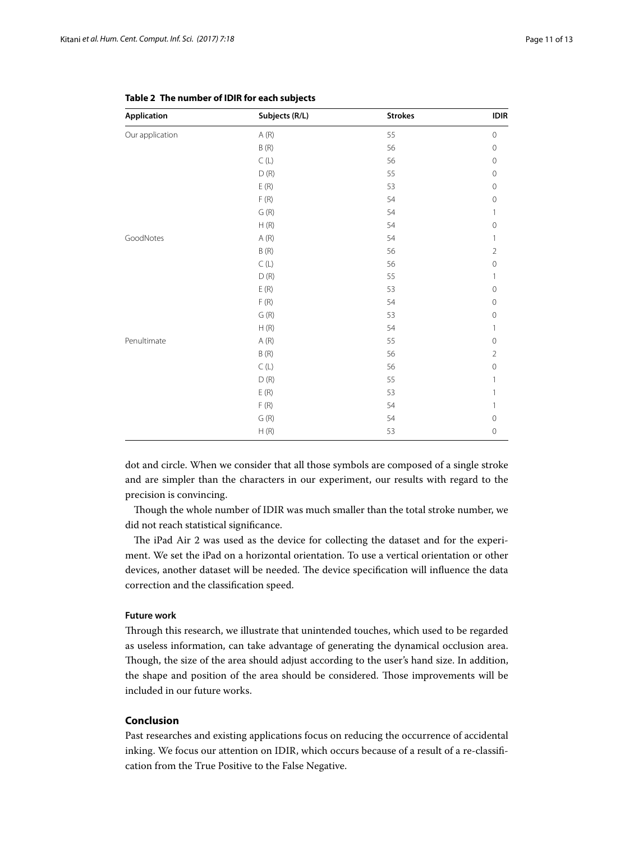| <b>Application</b> | Subjects (R/L)                        | <b>Strokes</b> | <b>IDIR</b>    |
|--------------------|---------------------------------------|----------------|----------------|
| Our application    | A(R)                                  | 55             | $\mathbb O$    |
|                    | B(R)                                  | 56             | $\mathbf 0$    |
|                    | C(L)                                  | 56             | $\mathbf 0$    |
|                    | D(R)                                  | 55             | $\mathbb O$    |
|                    | E(R)                                  | 53             | $\circ$        |
|                    | F(R)                                  | 54             | $\mathbb O$    |
|                    | G(R)                                  | 54             | 1              |
|                    | H(R)                                  | 54             | $\mathbf 0$    |
| GoodNotes          | A(R)                                  | 54             | 1              |
|                    | B(R)                                  | 56             | $\overline{2}$ |
|                    | C(L)                                  | 56             | $\mathbf 0$    |
|                    | D(R)                                  | 55             | 1              |
|                    | E(R)                                  | 53             | $\mathbf 0$    |
|                    | F(R)                                  | 54             | $\mathbf 0$    |
|                    | G(R)                                  | 53             | $\mathbf 0$    |
|                    | H(R)                                  | 54             | 1              |
| Penultimate        | A(R)                                  | 55             | $\mathbf 0$    |
|                    | B(R)                                  | 56             | $\overline{2}$ |
|                    | $\subset (\mathrel{\mathop{\sqcup}})$ | 56             | $\mathbf 0$    |
|                    | $\mathsf{D}\left(\mathsf{R}\right)$   | 55             | 1              |
|                    | E(R)                                  | 53             | 1              |
|                    | F(R)                                  | 54             | 1              |
|                    | G(R)                                  | 54             | $\mathbf 0$    |
|                    | H(R)                                  | 53             | $\mathbf 0$    |
|                    |                                       |                |                |

<span id="page-10-1"></span>

|  | Table 2 The number of IDIR for each subjects |  |  |  |
|--|----------------------------------------------|--|--|--|
|--|----------------------------------------------|--|--|--|

dot and circle. When we consider that all those symbols are composed of a single stroke and are simpler than the characters in our experiment, our results with regard to the precision is convincing.

Though the whole number of IDIR was much smaller than the total stroke number, we did not reach statistical signifcance.

The iPad Air 2 was used as the device for collecting the dataset and for the experiment. We set the iPad on a horizontal orientation. To use a vertical orientation or other devices, another dataset will be needed. The device specification will influence the data correction and the classifcation speed.

## **Future work**

Trough this research, we illustrate that unintended touches, which used to be regarded as useless information, can take advantage of generating the dynamical occlusion area. Though, the size of the area should adjust according to the user's hand size. In addition, the shape and position of the area should be considered. Those improvements will be included in our future works.

# <span id="page-10-0"></span>**Conclusion**

Past researches and existing applications focus on reducing the occurrence of accidental inking. We focus our attention on IDIR, which occurs because of a result of a re-classifcation from the True Positive to the False Negative.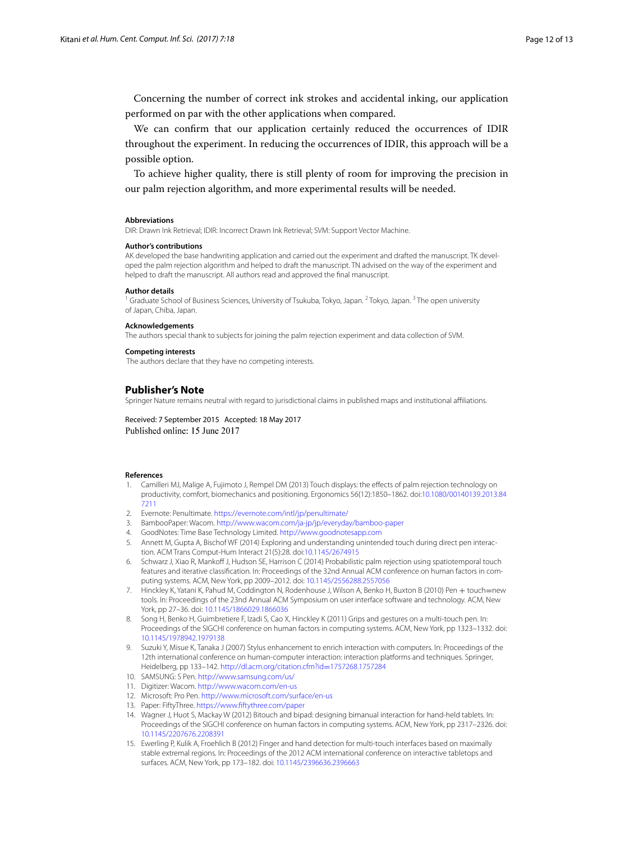Concerning the number of correct ink strokes and accidental inking, our application performed on par with the other applications when compared.

We can confrm that our application certainly reduced the occurrences of IDIR throughout the experiment. In reducing the occurrences of IDIR, this approach will be a possible option.

To achieve higher quality, there is still plenty of room for improving the precision in our palm rejection algorithm, and more experimental results will be needed.

#### **Abbreviations**

DIR: Drawn Ink Retrieval; IDIR: Incorrect Drawn Ink Retrieval; SVM: Support Vector Machine.

#### **Author's contributions**

AK developed the base handwriting application and carried out the experiment and drafted the manuscript. TK developed the palm rejection algorithm and helped to draft the manuscript. TN advised on the way of the experiment and helped to draft the manuscript. All authors read and approved the fnal manuscript.

#### **Author details**

<sup>1</sup> Graduate School of Business Sciences, University of Tsukuba, Tokyo, Japan. <sup>2</sup> Tokyo, Japan. <sup>3</sup> The open university of Japan, Chiba, Japan.

#### **Acknowledgements**

The authors special thank to subjects for joining the palm rejection experiment and data collection of SVM.

#### **Competing interests**

The authors declare that they have no competing interests.

#### **Publisher's Note**

Springer Nature remains neutral with regard to jurisdictional claims in published maps and institutional afliations.

Received: 7 September 2015 Accepted: 18 May 2017 Published online: 15 June 2017

#### **References**

- <span id="page-11-0"></span>1. Camilleri MJ, Malige A, Fujimoto J, Rempel DM (2013) Touch displays: the efects of palm rejection technology on productivity, comfort, biomechanics and positioning. Ergonomics 56(12):1850–1862. doi[:10.1080/00140139.2013.84](http://dx.doi.org/10.1080/00140139.2013.847211) [7211](http://dx.doi.org/10.1080/00140139.2013.847211)
- <span id="page-11-1"></span>2. Evernote: Penultimate.<https://evernote.com/intl/jp/penultimate/>
- <span id="page-11-10"></span>3. BambooPaper: Wacom. <http://www.wacom.com/ja-jp/jp/everyday/bamboo-paper>
- <span id="page-11-2"></span>4. GoodNotes: Time Base Technology Limited.<http://www.goodnotesapp.com>
- <span id="page-11-3"></span>5. Annett M, Gupta A, Bischof WF (2014) Exploring and understanding unintended touch during direct pen interaction. ACM Trans Comput-Hum Interact 21(5):28. doi[:10.1145/2674915](http://dx.doi.org/10.1145/2674915)
- <span id="page-11-4"></span>6. Schwarz J, Xiao R, Mankoff J, Hudson SE, Harrison C (2014) Probabilistic palm rejection using spatiotemporal touch features and iterative classifcation. In: Proceedings of the 32nd Annual ACM conference on human factors in computing systems. ACM, New York, pp 2009–2012. doi: [10.1145/2556288.2557056](http://dx.doi.org/10.1145/2556288.2557056)
- <span id="page-11-5"></span>7. Hinckley K, Yatani K, Pahud M, Coddington N, Rodenhouse J, Wilson A, Benko H, Buxton B (2010) Pen + touch=new tools. In: Proceedings of the 23nd Annual ACM Symposium on user interface software and technology. ACM, New York, pp 27–36. doi: [10.1145/1866029.1866036](http://dx.doi.org/10.1145/1866029.1866036)
- 8. Song H, Benko H, Guimbretiere F, Izadi S, Cao X, Hinckley K (2011) Grips and gestures on a multi-touch pen. In: Proceedings of the SIGCHI conference on human factors in computing systems. ACM, New York, pp 1323–1332. doi: [10.1145/1978942.1979138](http://dx.doi.org/10.1145/1978942.1979138)
- <span id="page-11-6"></span>9. Suzuki Y, Misue K, Tanaka J (2007) Stylus enhancement to enrich interaction with computers. In: Proceedings of the 12th international conference on human-computer interaction: interaction platforms and techniques. Springer, Heidelberg, pp 133-142. [http://dl.acm.org/citation.cfm?id](http://dl.acm.org/citation.cfm?id=1757268.1757284)=1757268.1757284
- <span id="page-11-7"></span>10. SAMSUNG: S Pen.<http://www.samsung.com/us/>
- <span id="page-11-8"></span>11. Digitizer: Wacom. <http://www.wacom.com/en-us>
- <span id="page-11-9"></span>12. Microsoft: Pro Pen.<http://www.microsoft.com/surface/en-us>
- <span id="page-11-11"></span>13. Paper: FiftyThree. [https://www.fftythree.com/paper](https://www.fiftythree.com/paper)
- <span id="page-11-12"></span>14. Wagner J, Huot S, Mackay W (2012) Bitouch and bipad: designing bimanual interaction for hand-held tablets. In: Proceedings of the SIGCHI conference on human factors in computing systems. ACM, New York, pp 2317–2326. doi: [10.1145/2207676.2208391](http://dx.doi.org/10.1145/2207676.2208391)
- 15. Ewerling P, Kulik A, Froehlich B (2012) Finger and hand detection for multi-touch interfaces based on maximally stable extremal regions. In: Proceedings of the 2012 ACM international conference on interactive tabletops and surfaces. ACM, New York, pp 173–182. doi: [10.1145/2396636.2396663](http://dx.doi.org/10.1145/2396636.2396663)